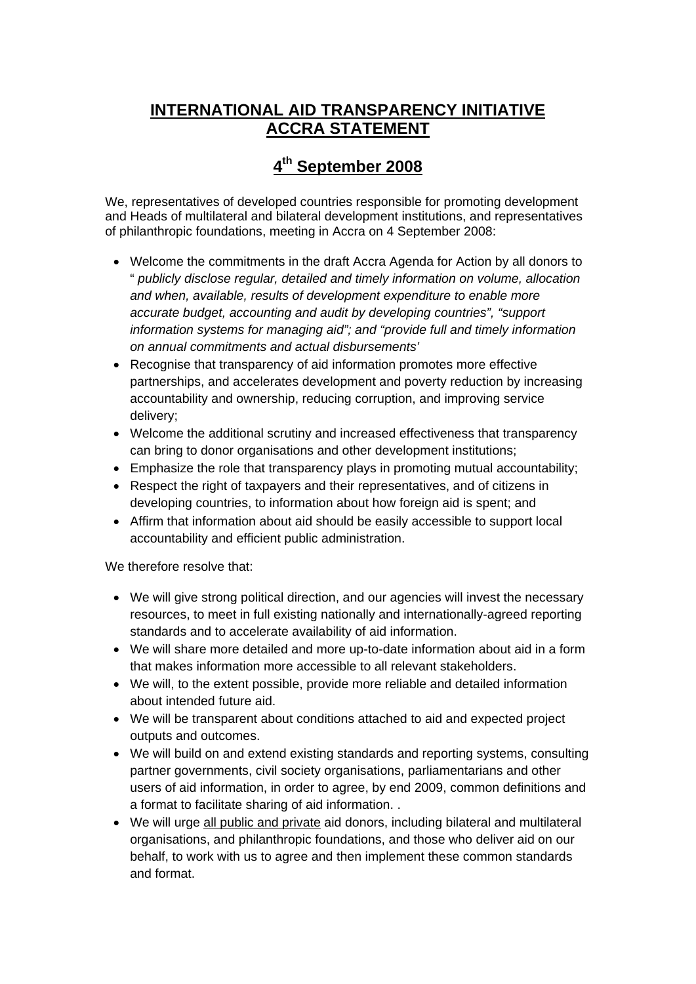## **INTERNATIONAL AID TRANSPARENCY INITIATIVE ACCRA STATEMENT**

## **4th September 2008**

We, representatives of developed countries responsible for promoting development and Heads of multilateral and bilateral development institutions, and representatives of philanthropic foundations, meeting in Accra on 4 September 2008:

- Welcome the commitments in the draft Accra Agenda for Action by all donors to " *publicly disclose regular, detailed and timely information on volume, allocation and when, available, results of development expenditure to enable more accurate budget, accounting and audit by developing countries", "support information systems for managing aid"; and "provide full and timely information on annual commitments and actual disbursements'*
- Recognise that transparency of aid information promotes more effective partnerships, and accelerates development and poverty reduction by increasing accountability and ownership, reducing corruption, and improving service delivery;
- Welcome the additional scrutiny and increased effectiveness that transparency can bring to donor organisations and other development institutions;
- Emphasize the role that transparency plays in promoting mutual accountability;
- Respect the right of taxpayers and their representatives, and of citizens in developing countries, to information about how foreign aid is spent; and
- Affirm that information about aid should be easily accessible to support local accountability and efficient public administration.

We therefore resolve that:

- We will give strong political direction, and our agencies will invest the necessary resources, to meet in full existing nationally and internationally-agreed reporting standards and to accelerate availability of aid information.
- We will share more detailed and more up-to-date information about aid in a form that makes information more accessible to all relevant stakeholders.
- We will, to the extent possible, provide more reliable and detailed information about intended future aid.
- We will be transparent about conditions attached to aid and expected project outputs and outcomes.
- We will build on and extend existing standards and reporting systems, consulting partner governments, civil society organisations, parliamentarians and other users of aid information, in order to agree, by end 2009, common definitions and a format to facilitate sharing of aid information. .
- We will urge all public and private aid donors, including bilateral and multilateral organisations, and philanthropic foundations, and those who deliver aid on our behalf, to work with us to agree and then implement these common standards and format.